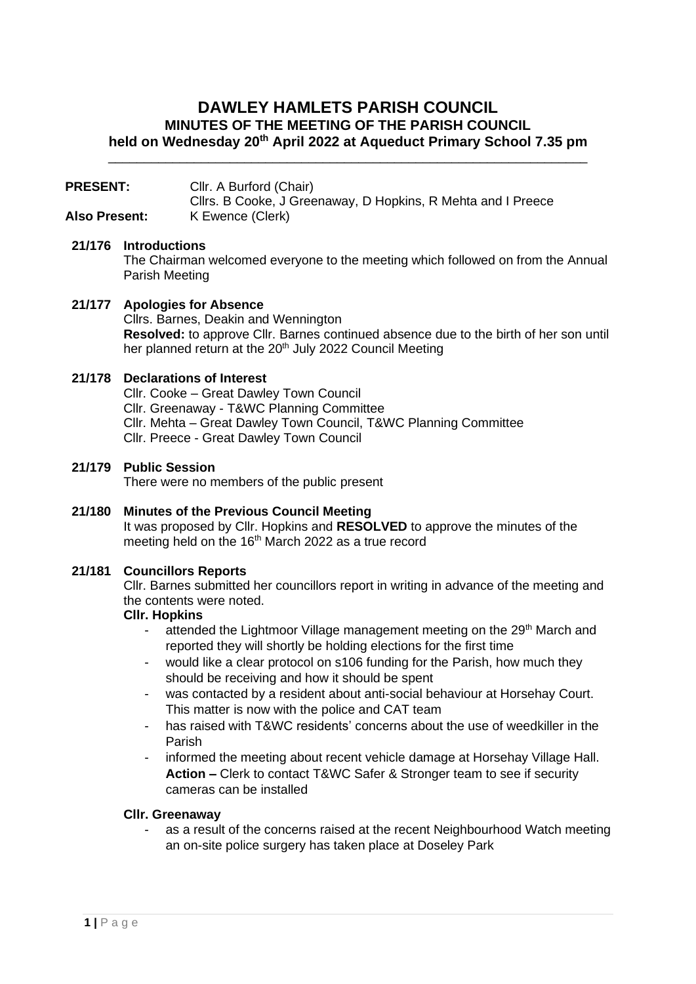# **DAWLEY HAMLETS PARISH COUNCIL MINUTES OF THE MEETING OF THE PARISH COUNCIL held on Wednesday 20th April 2022 at Aqueduct Primary School 7.35 pm**

\_\_\_\_\_\_\_\_\_\_\_\_\_\_\_\_\_\_\_\_\_\_\_\_\_\_\_\_\_\_\_\_\_\_\_\_\_\_\_\_\_\_\_\_\_\_\_\_\_\_\_\_\_\_\_\_\_\_\_\_\_\_\_\_\_\_\_

| <b>PRESENT:</b> | Cllr. A Burford (Chair)                                      |
|-----------------|--------------------------------------------------------------|
|                 | Cllrs. B Cooke, J Greenaway, D Hopkins, R Mehta and I Preece |
| Also Present:   | K Ewence (Clerk)                                             |

## **21/176 Introductions**

The Chairman welcomed everyone to the meeting which followed on from the Annual Parish Meeting

**21/177 Apologies for Absence** Cllrs. Barnes, Deakin and Wennington **Resolved:** to approve Cllr. Barnes continued absence due to the birth of her son until her planned return at the 20<sup>th</sup> July 2022 Council Meeting

## **21/178 Declarations of Interest**

Cllr. Cooke – Great Dawley Town Council Cllr. Greenaway - T&WC Planning Committee Cllr. Mehta – Great Dawley Town Council, T&WC Planning Committee Cllr. Preece - Great Dawley Town Council

**21/179 Public Session**

There were no members of the public present

#### **21/180 Minutes of the Previous Council Meeting** It was proposed by Cllr. Hopkins and **RESOLVED** to approve the minutes of the

meeting held on the  $16<sup>th</sup>$  March 2022 as a true record

## **21/181 Councillors Reports**

Cllr. Barnes submitted her councillors report in writing in advance of the meeting and the contents were noted.

## **Cllr. Hopkins**

- attended the Lightmoor Village management meeting on the 29<sup>th</sup> March and reported they will shortly be holding elections for the first time
- would like a clear protocol on s106 funding for the Parish, how much they should be receiving and how it should be spent
- was contacted by a resident about anti-social behaviour at Horsehay Court. This matter is now with the police and CAT team
- has raised with T&WC residents' concerns about the use of weedkiller in the Parish
- informed the meeting about recent vehicle damage at Horsehay Village Hall. **Action –** Clerk to contact T&WC Safer & Stronger team to see if security cameras can be installed

#### **Cllr. Greenaway**

- as a result of the concerns raised at the recent Neighbourhood Watch meeting an on-site police surgery has taken place at Doseley Park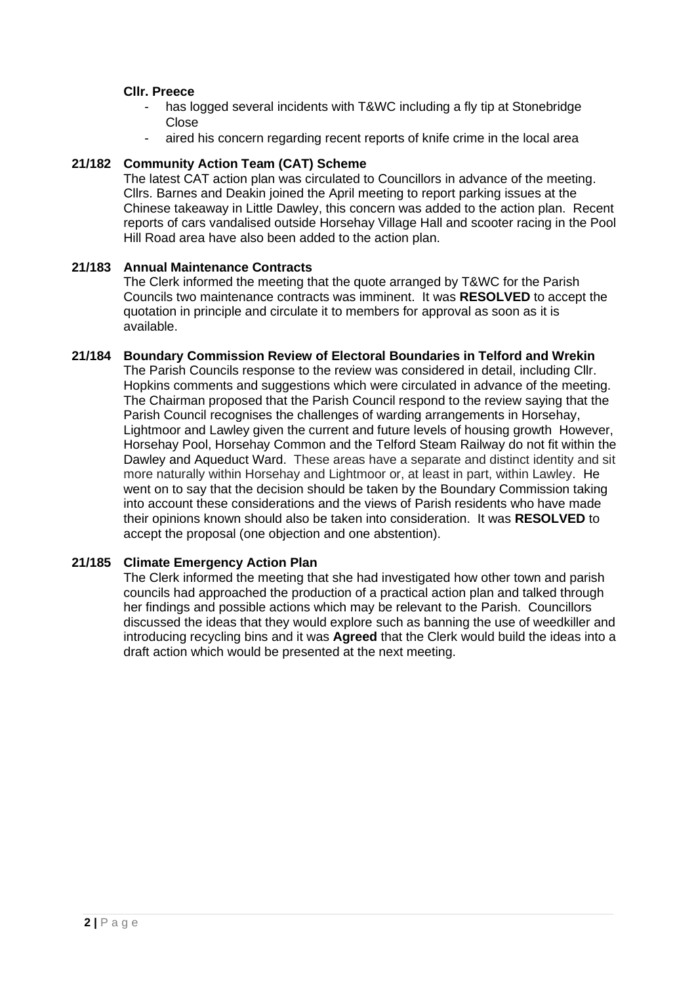### **Cllr. Preece**

- has logged several incidents with T&WC including a fly tip at Stonebridge **Close**
- aired his concern regarding recent reports of knife crime in the local area

### **21/182 Community Action Team (CAT) Scheme**

The latest CAT action plan was circulated to Councillors in advance of the meeting. Cllrs. Barnes and Deakin joined the April meeting to report parking issues at the Chinese takeaway in Little Dawley, this concern was added to the action plan. Recent reports of cars vandalised outside Horsehay Village Hall and scooter racing in the Pool Hill Road area have also been added to the action plan.

### **21/183 Annual Maintenance Contracts**

The Clerk informed the meeting that the quote arranged by T&WC for the Parish Councils two maintenance contracts was imminent. It was **RESOLVED** to accept the quotation in principle and circulate it to members for approval as soon as it is available.

### **21/184 Boundary Commission Review of Electoral Boundaries in Telford and Wrekin**

The Parish Councils response to the review was considered in detail, including Cllr. Hopkins comments and suggestions which were circulated in advance of the meeting. The Chairman proposed that the Parish Council respond to the review saying that the Parish Council recognises the challenges of warding arrangements in Horsehay, Lightmoor and Lawley given the current and future levels of housing growth However, Horsehay Pool, Horsehay Common and the Telford Steam Railway do not fit within the Dawley and Aqueduct Ward. These areas have a separate and distinct identity and sit more naturally within Horsehay and Lightmoor or, at least in part, within Lawley. He went on to say that the decision should be taken by the Boundary Commission taking into account these considerations and the views of Parish residents who have made their opinions known should also be taken into consideration. It was **RESOLVED** to accept the proposal (one objection and one abstention).

## **21/185 Climate Emergency Action Plan**

The Clerk informed the meeting that she had investigated how other town and parish councils had approached the production of a practical action plan and talked through her findings and possible actions which may be relevant to the Parish. Councillors discussed the ideas that they would explore such as banning the use of weedkiller and introducing recycling bins and it was **Agreed** that the Clerk would build the ideas into a draft action which would be presented at the next meeting.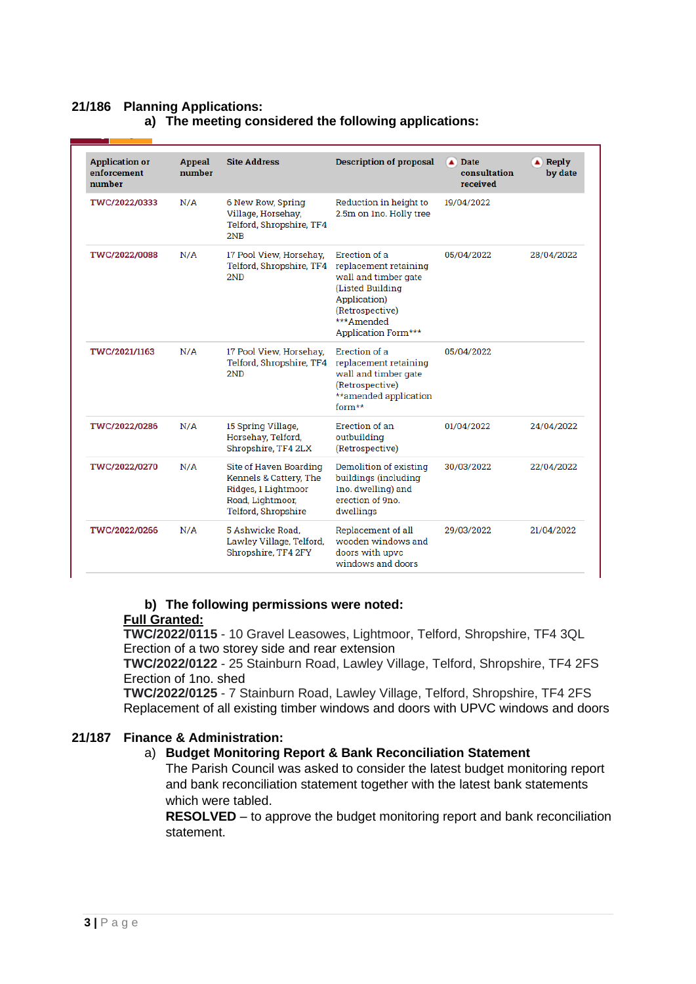# **21/186 Planning Applications:**

| <b>Application or</b><br>enforcement<br>number | Appeal<br>number | <b>Site Address</b>                                                                                                | <b>Description of proposal</b>                                                                                                                              | Date<br>▲<br>consultation<br>received | Reply<br>▲)<br>by date |
|------------------------------------------------|------------------|--------------------------------------------------------------------------------------------------------------------|-------------------------------------------------------------------------------------------------------------------------------------------------------------|---------------------------------------|------------------------|
| TWC/2022/0333                                  | N/A              | 6 New Row, Spring<br>Village, Horsehay,<br>Telford, Shropshire, TF4<br>2NB                                         | Reduction in height to<br>2.5m on 1no. Holly tree                                                                                                           | 19/04/2022                            |                        |
| TWC/2022/0088                                  | N/A              | 17 Pool View, Horsehay,<br>Telford, Shropshire, TF4<br>2ND                                                         | Erection of a<br>replacement retaining<br>wall and timber gate<br>(Listed Building<br>Application)<br>(Retrospective)<br>*** Amended<br>Application Form*** | 05/04/2022                            | 28/04/2022             |
| TWC/2021/1163                                  | N/A              | 17 Pool View, Horsehay,<br>Telford, Shropshire, TF4<br>2ND                                                         | Erection of a<br>replacement retaining<br>wall and timber gate<br>(Retrospective)<br>**amended application<br>$form**$                                      | 05/04/2022                            |                        |
| TWC/2022/0286                                  | N/A              | 15 Spring Village,<br>Horsehay, Telford,<br>Shropshire, TF4 2LX                                                    | Erection of an<br>01/04/2022<br>outbuilding<br>(Retrospective)                                                                                              |                                       | 24/04/2022             |
| TWC/2022/0270                                  | N/A              | Site of Haven Boarding<br>Kennels & Cattery, The<br>Ridges, 1 Lightmoor<br>Road, Lightmoor,<br>Telford, Shropshire | Demolition of existing<br>buildings (including<br>Ino. dwelling) and<br>erection of 9no.<br>dwellings                                                       | 30/03/2022                            |                        |
| TWC/2022/0266                                  | N/A              | 5 Ashwicke Road.<br>Lawley Village, Telford,<br>Shropshire, TF4 2FY                                                | Replacement of all<br>wooden windows and<br>doors with upvc<br>windows and doors                                                                            | 29/03/2022                            | 21/04/2022             |
|                                                |                  |                                                                                                                    |                                                                                                                                                             |                                       |                        |

# **a) The meeting considered the following applications:**

# **b) The following permissions were noted:**

# **Full Granted:**

**TWC/2022/0115** - 10 Gravel Leasowes, Lightmoor, Telford, Shropshire, TF4 3QL Erection of a two storey side and rear extension

**TWC/2022/0122** - 25 Stainburn Road, Lawley Village, Telford, Shropshire, TF4 2FS Erection of 1no. shed

**TWC/2022/0125** - 7 Stainburn Road, Lawley Village, Telford, Shropshire, TF4 2FS Replacement of all existing timber windows and doors with UPVC windows and doors

# **21/187 Finance & Administration:**

# a) **Budget Monitoring Report & Bank Reconciliation Statement**

The Parish Council was asked to consider the latest budget monitoring report and bank reconciliation statement together with the latest bank statements which were tabled.

**RESOLVED** – to approve the budget monitoring report and bank reconciliation statement.